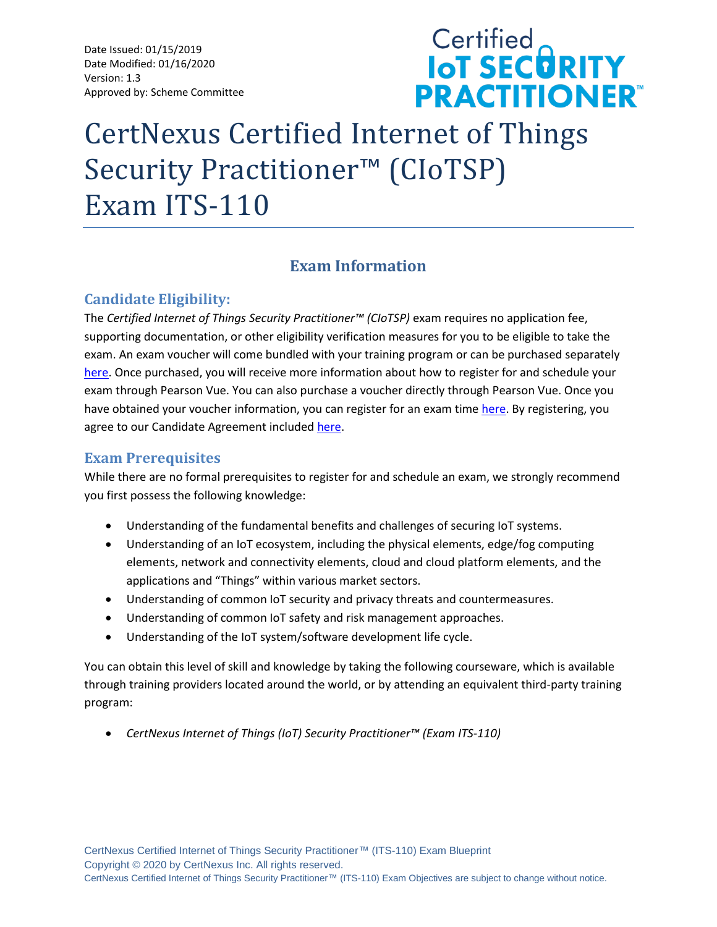Date Issued: 01/15/2019 Date Modified: 01/16/2020 Version: 1.3 Approved by: Scheme Committee

# **Certified<br>IoT SECORITY PRACTITIONER®**

# CertNexus Certified Internet of Things Security Practitioner™ (CIoTSP) Exam ITS-110

# **Exam Information**

# **Candidate Eligibility:**

The *Certified Internet of Things Security Practitioner™ (CIoTSP)* exam requires no application fee, supporting documentation, or other eligibility verification measures for you to be eligible to take the exam. An exam voucher will come bundled with your training program or can be purchased separately [here.](https://store.certnexus.com/) Once purchased, you will receive more information about how to register for and schedule your exam through Pearson Vue. You can also purchase a voucher directly through Pearson Vue. Once you have obtained your voucher information, you can register for an exam time [here.](https://home.pearsonvue.com/certnexus) By registering, you agree to our Candidate Agreement included [here.](https://certnexus.com/wp-content/uploads/2018/06/CertNexus-Candidate-Handbook.pdf)

# **Exam Prerequisites**

While there are no formal prerequisites to register for and schedule an exam, we strongly recommend you first possess the following knowledge:

- Understanding of the fundamental benefits and challenges of securing IoT systems.
- Understanding of an IoT ecosystem, including the physical elements, edge/fog computing elements, network and connectivity elements, cloud and cloud platform elements, and the applications and "Things" within various market sectors.
- Understanding of common IoT security and privacy threats and countermeasures.
- Understanding of common IoT safety and risk management approaches.
- Understanding of the IoT system/software development life cycle.

You can obtain this level of skill and knowledge by taking the following courseware, which is available through training providers located around the world, or by attending an equivalent third-party training program:

• *CertNexus Internet of Things (IoT) Security Practitioner™ (Exam ITS-110)*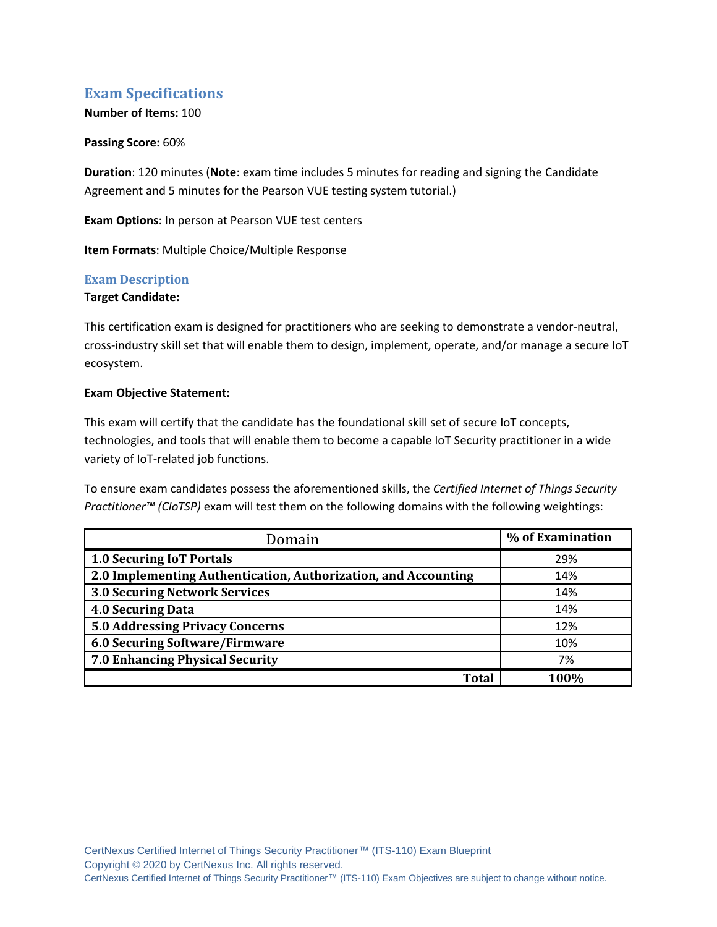# **Exam Specifications**

#### **Number of Items:** 100

#### **Passing Score:** 60%

**Duration**: 120 minutes (**Note**: exam time includes 5 minutes for reading and signing the Candidate Agreement and 5 minutes for the Pearson VUE testing system tutorial.)

**Exam Options**: In person at Pearson VUE test centers

**Item Formats**: Multiple Choice/Multiple Response

#### **Exam Description**

#### **Target Candidate:**

This certification exam is designed for practitioners who are seeking to demonstrate a vendor-neutral, cross-industry skill set that will enable them to design, implement, operate, and/or manage a secure IoT ecosystem.

#### **Exam Objective Statement:**

This exam will certify that the candidate has the foundational skill set of secure IoT concepts, technologies, and tools that will enable them to become a capable IoT Security practitioner in a wide variety of IoT-related job functions.

To ensure exam candidates possess the aforementioned skills, the *Certified Internet of Things Security Practitioner™ (CIoTSP)* exam will test them on the following domains with the following weightings:

| Domain                                                         | % of Examination |
|----------------------------------------------------------------|------------------|
| <b>1.0 Securing IoT Portals</b>                                | 29%              |
| 2.0 Implementing Authentication, Authorization, and Accounting | 14%              |
| <b>3.0 Securing Network Services</b>                           | 14%              |
| <b>4.0 Securing Data</b>                                       | 14%              |
| <b>5.0 Addressing Privacy Concerns</b>                         | 12%              |
| 6.0 Securing Software/Firmware                                 | 10%              |
| 7.0 Enhancing Physical Security                                | 7%               |
| Total                                                          | 1 በበ%            |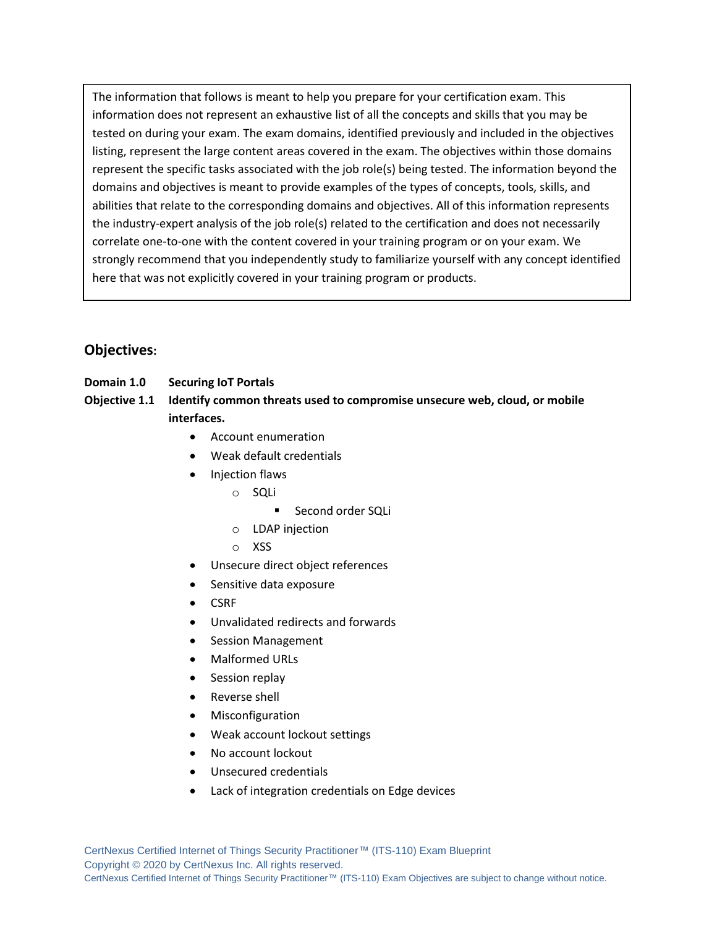The information that follows is meant to help you prepare for your certification exam. This information does not represent an exhaustive list of all the concepts and skills that you may be tested on during your exam. The exam domains, identified previously and included in the objectives listing, represent the large content areas covered in the exam. The objectives within those domains represent the specific tasks associated with the job role(s) being tested. The information beyond the domains and objectives is meant to provide examples of the types of concepts, tools, skills, and abilities that relate to the corresponding domains and objectives. All of this information represents the industry-expert analysis of the job role(s) related to the certification and does not necessarily correlate one-to-one with the content covered in your training program or on your exam. We strongly recommend that you independently study to familiarize yourself with any concept identified here that was not explicitly covered in your training program or products.

# **Objectives:**

**Domain 1.0 Securing IoT Portals**

**Objective 1.1 Identify common threats used to compromise unsecure web, cloud, or mobile interfaces.**

- Account enumeration
- Weak default credentials
- Injection flaws
	- o SQLi
		- Second order SQLi
	- o LDAP injection
	- o XSS
- Unsecure direct object references
- Sensitive data exposure
- CSRF
- Unvalidated redirects and forwards
- Session Management
- Malformed URLs
- Session replay
- Reverse shell
- **Misconfiguration**
- Weak account lockout settings
- No account lockout
- Unsecured credentials
- Lack of integration credentials on Edge devices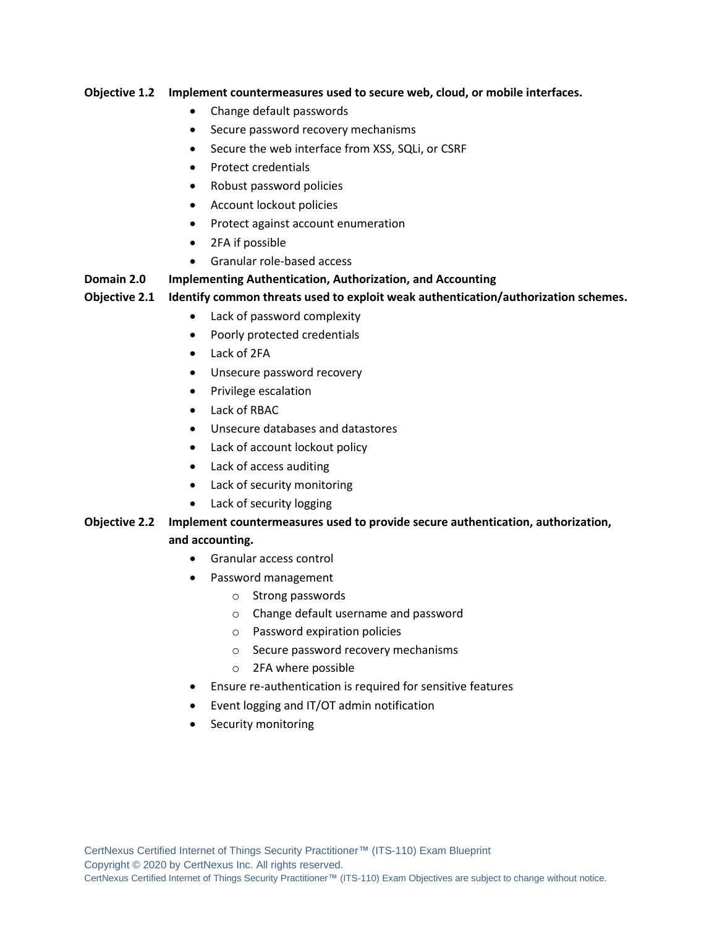#### **Objective 1.2 Implement countermeasures used to secure web, cloud, or mobile interfaces.**

- Change default passwords
- Secure password recovery mechanisms
- Secure the web interface from XSS, SQLi, or CSRF
- Protect credentials
- Robust password policies
- Account lockout policies
- Protect against account enumeration
- 2FA if possible
- Granular role-based access

#### **Domain 2.0 Implementing Authentication, Authorization, and Accounting**

#### **Objective 2.1 Identify common threats used to exploit weak authentication/authorization schemes.**

- Lack of password complexity
- Poorly protected credentials
- Lack of 2FA
- Unsecure password recovery
- Privilege escalation
- Lack of RBAC
- Unsecure databases and datastores
- Lack of account lockout policy
- Lack of access auditing
- Lack of security monitoring
- Lack of security logging

#### **Objective 2.2 Implement countermeasures used to provide secure authentication, authorization,**

#### **and accounting.**

- Granular access control
- Password management
	- o Strong passwords
	- o Change default username and password
	- o Password expiration policies
	- o Secure password recovery mechanisms
	- o 2FA where possible
- Ensure re-authentication is required for sensitive features
- Event logging and IT/OT admin notification
- Security monitoring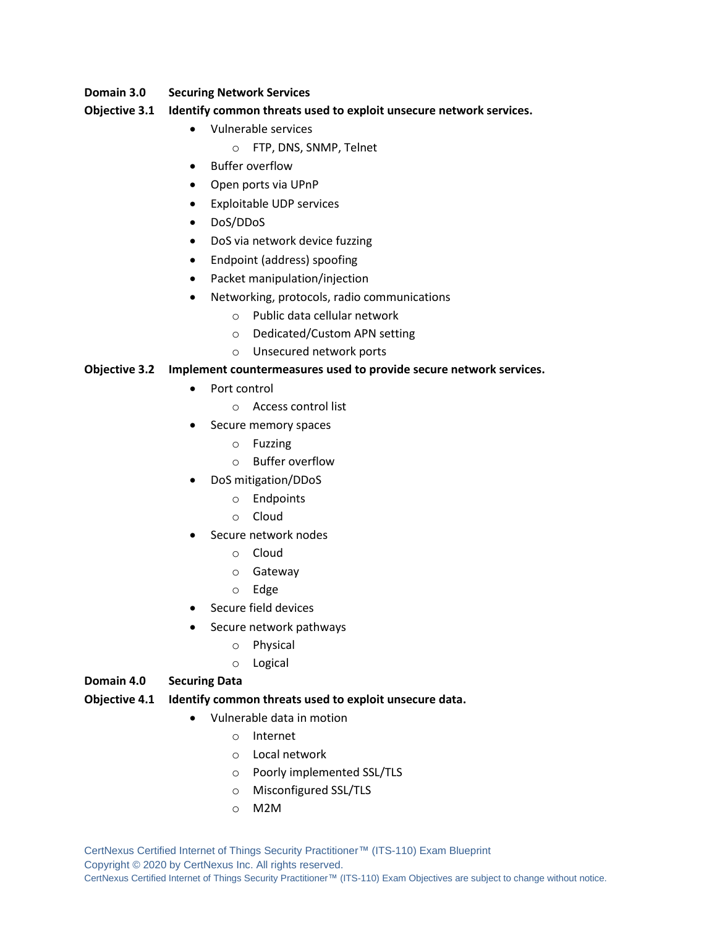#### **Domain 3.0 Securing Network Services**

#### **Objective 3.1 Identify common threats used to exploit unsecure network services.**

- Vulnerable services
	- o FTP, DNS, SNMP, Telnet
- Buffer overflow
- Open ports via UPnP
- Exploitable UDP services
- DoS/DDoS
- DoS via network device fuzzing
- Endpoint (address) spoofing
- Packet manipulation/injection
- Networking, protocols, radio communications
	- o Public data cellular network
	- o Dedicated/Custom APN setting
	- o Unsecured network ports

#### **Objective 3.2 Implement countermeasures used to provide secure network services.**

- Port control
	- o Access control list
- Secure memory spaces
	- o Fuzzing
	- o Buffer overflow
- DoS mitigation/DDoS
	- o Endpoints
	- o Cloud
- Secure network nodes
	- o Cloud
	- o Gateway
	- o Edge
- Secure field devices
- Secure network pathways
	- o Physical
	- o Logical

#### **Domain 4.0 Securing Data**

#### **Objective 4.1 Identify common threats used to exploit unsecure data.**

- Vulnerable data in motion
	- o Internet
	- o Local network
	- o Poorly implemented SSL/TLS
	- o Misconfigured SSL/TLS
	- o M2M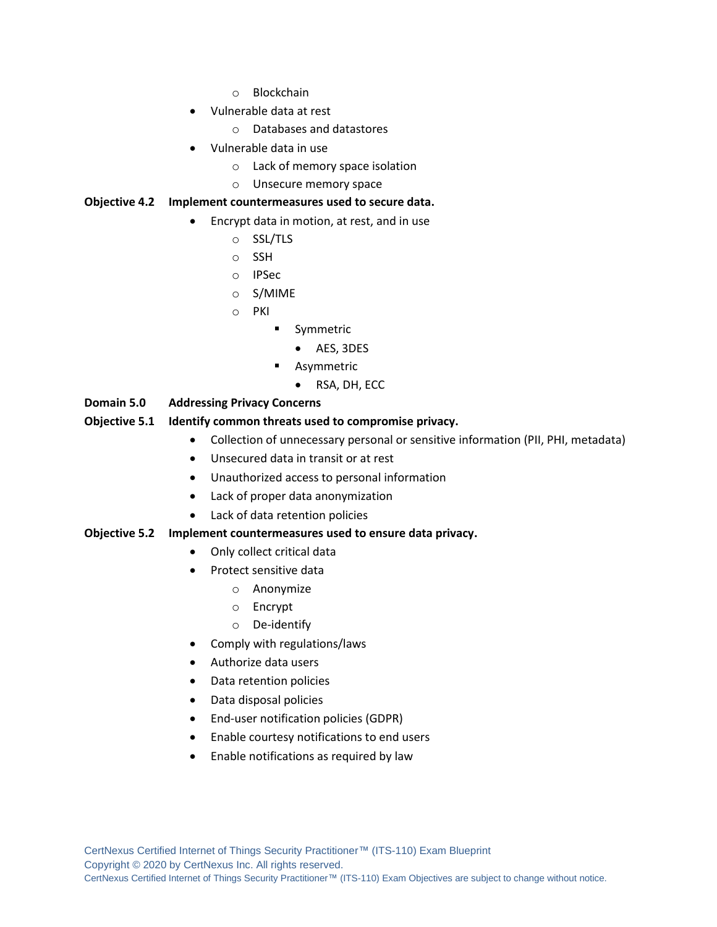- o Blockchain
- Vulnerable data at rest
	- o Databases and datastores
- Vulnerable data in use
	- o Lack of memory space isolation
	- o Unsecure memory space

#### **Objective 4.2 Implement countermeasures used to secure data.**

- Encrypt data in motion, at rest, and in use
	- o SSL/TLS
	- o SSH
	- o IPSec
	- o S/MIME
	- o PKI
		- **■** Symmetric
			- AES, 3DES
		- Asymmetric
			- RSA, DH, ECC

#### **Domain 5.0 Addressing Privacy Concerns**

#### **Objective 5.1 Identify common threats used to compromise privacy.**

- Collection of unnecessary personal or sensitive information (PII, PHI, metadata)
- Unsecured data in transit or at rest
- Unauthorized access to personal information
- Lack of proper data anonymization
- Lack of data retention policies

#### **Objective 5.2 Implement countermeasures used to ensure data privacy.**

- Only collect critical data
- Protect sensitive data
	- o Anonymize
	- o Encrypt
	- o De-identify
- Comply with regulations/laws
- Authorize data users
- Data retention policies
- Data disposal policies
- End-user notification policies (GDPR)
- Enable courtesy notifications to end users
- Enable notifications as required by law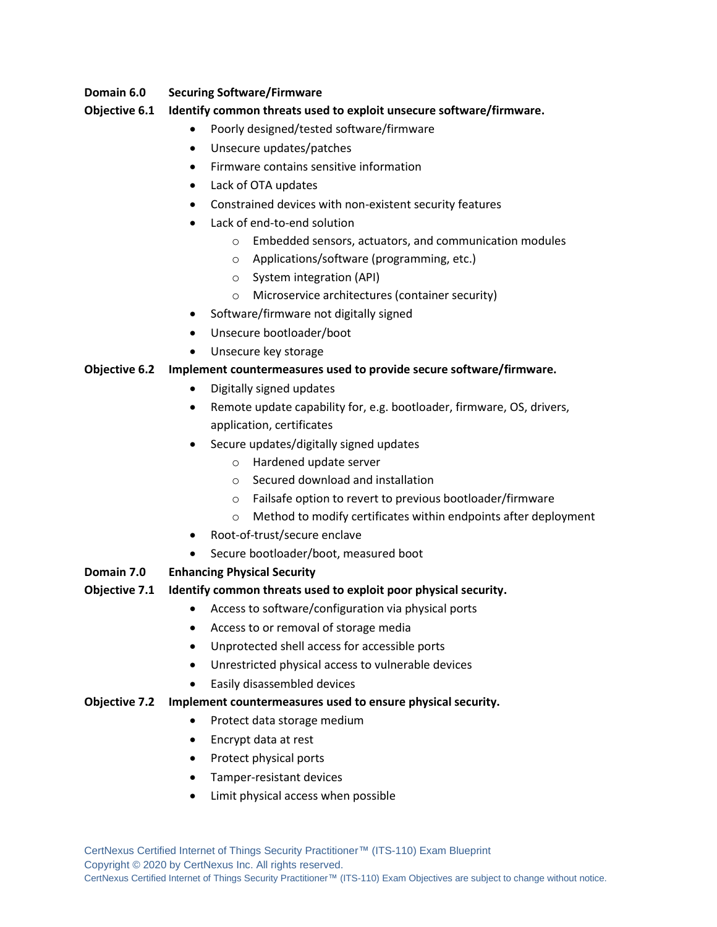#### **Domain 6.0 Securing Software/Firmware**

#### **Objective 6.1 Identify common threats used to exploit unsecure software/firmware.**

- Poorly designed/tested software/firmware
- Unsecure updates/patches
- Firmware contains sensitive information
- Lack of OTA updates
- Constrained devices with non-existent security features
- Lack of end-to-end solution
	- o Embedded sensors, actuators, and communication modules
	- o Applications/software (programming, etc.)
	- o System integration (API)
	- o Microservice architectures (container security)
- Software/firmware not digitally signed
- Unsecure bootloader/boot
- Unsecure key storage

#### **Objective 6.2 Implement countermeasures used to provide secure software/firmware.**

- Digitally signed updates
- Remote update capability for, e.g. bootloader, firmware, OS, drivers, application, certificates
- Secure updates/digitally signed updates
	- o Hardened update server
	- o Secured download and installation
	- o Failsafe option to revert to previous bootloader/firmware
	- o Method to modify certificates within endpoints after deployment
- Root-of-trust/secure enclave
- Secure bootloader/boot, measured boot

#### **Domain 7.0 Enhancing Physical Security**

#### **Objective 7.1 Identify common threats used to exploit poor physical security.**

- Access to software/configuration via physical ports
- Access to or removal of storage media
- Unprotected shell access for accessible ports
- Unrestricted physical access to vulnerable devices
- Easily disassembled devices

#### **Objective 7.2 Implement countermeasures used to ensure physical security.**

- Protect data storage medium
- Encrypt data at rest
- Protect physical ports
- Tamper-resistant devices
- Limit physical access when possible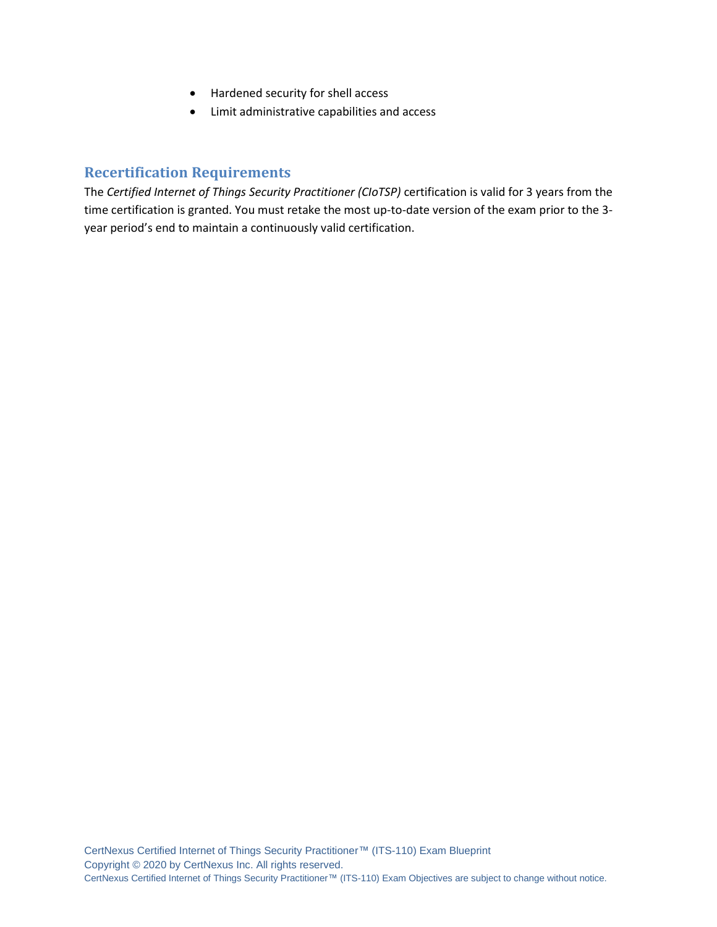- Hardened security for shell access
- Limit administrative capabilities and access

# **Recertification Requirements**

The *Certified Internet of Things Security Practitioner (CIoTSP)* certification is valid for 3 years from the time certification is granted. You must retake the most up-to-date version of the exam prior to the 3 year period's end to maintain a continuously valid certification.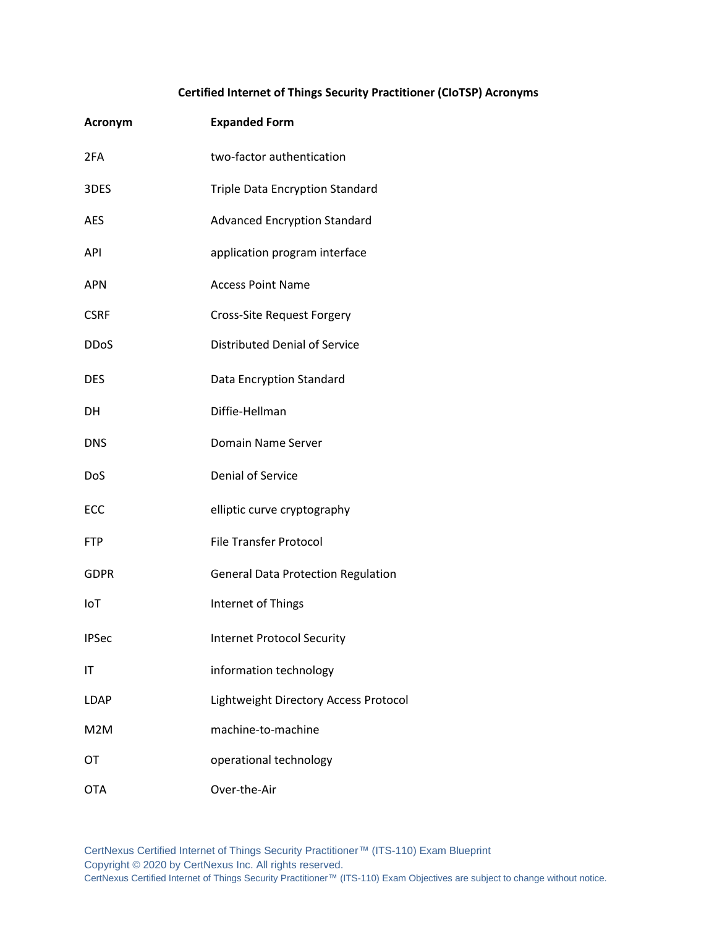### **Certified Internet of Things Security Practitioner (CIoTSP) Acronyms**

| <b>Acronym</b>   | <b>Expanded Form</b>                      |
|------------------|-------------------------------------------|
| 2FA              | two-factor authentication                 |
| 3DES             | <b>Triple Data Encryption Standard</b>    |
| <b>AES</b>       | <b>Advanced Encryption Standard</b>       |
| API              | application program interface             |
| <b>APN</b>       | <b>Access Point Name</b>                  |
| <b>CSRF</b>      | Cross-Site Request Forgery                |
| <b>DDoS</b>      | <b>Distributed Denial of Service</b>      |
| <b>DES</b>       | <b>Data Encryption Standard</b>           |
| DН               | Diffie-Hellman                            |
| <b>DNS</b>       | Domain Name Server                        |
| DoS              | <b>Denial of Service</b>                  |
| ECC              | elliptic curve cryptography               |
| <b>FTP</b>       | <b>File Transfer Protocol</b>             |
| <b>GDPR</b>      | <b>General Data Protection Regulation</b> |
| IoT              | Internet of Things                        |
| <b>IPSec</b>     | <b>Internet Protocol Security</b>         |
| IT               | information technology                    |
| <b>LDAP</b>      | Lightweight Directory Access Protocol     |
| M <sub>2</sub> M | machine-to-machine                        |
| OT               | operational technology                    |
| <b>OTA</b>       | Over-the-Air                              |